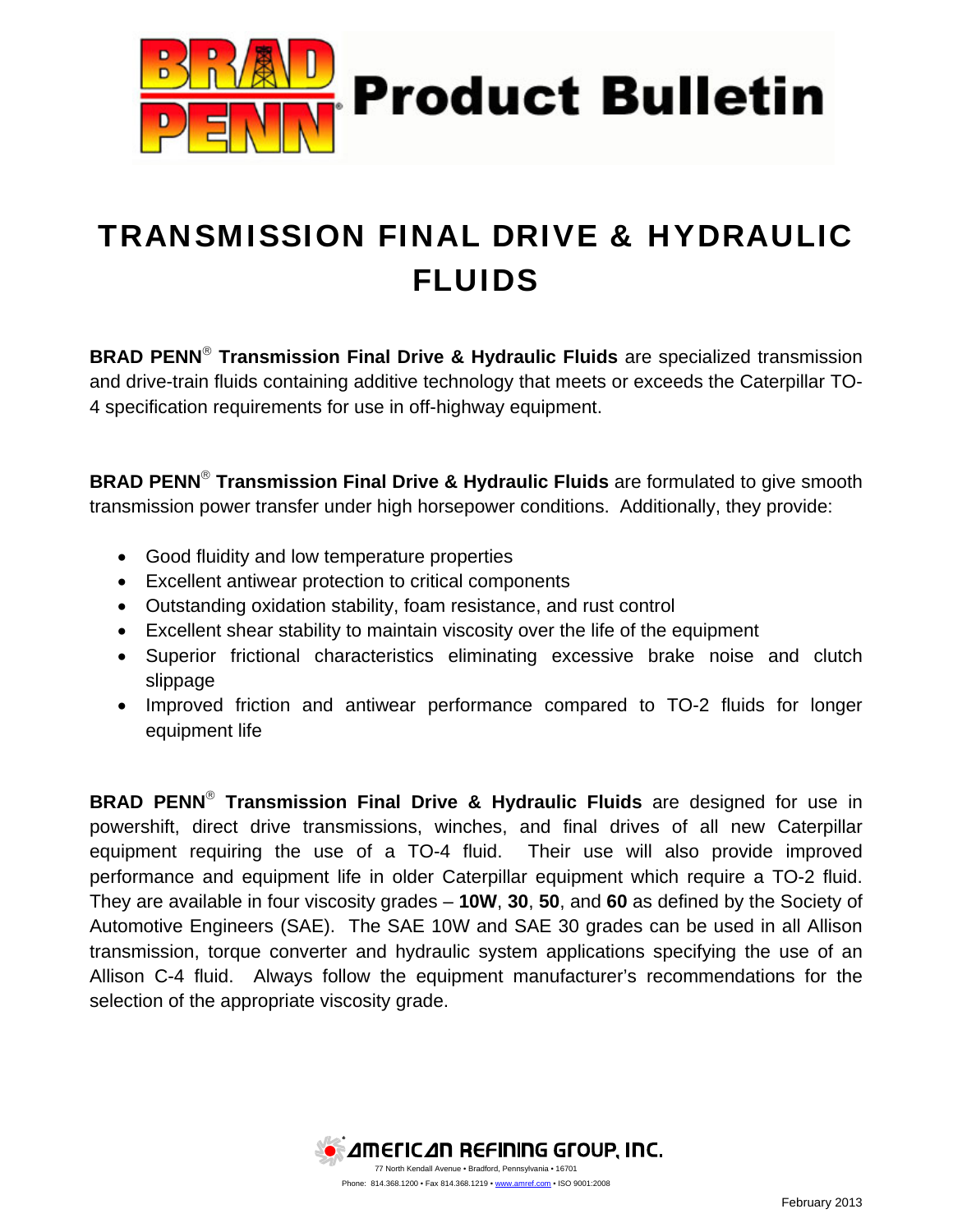

## TRANSMISSION FINAL DRIVE & HYDRAULIC FLUIDS

**BRAD PENN<sup>®</sup> Transmission Final Drive & Hydraulic Fluids** are specialized transmission and drive-train fluids containing additive technology that meets or exceeds the Caterpillar TO-4 specification requirements for use in off-highway equipment.

**BRAD PENN<sup>®</sup> Transmission Final Drive & Hydraulic Fluids** are formulated to give smooth transmission power transfer under high horsepower conditions. Additionally, they provide:

- Good fluidity and low temperature properties
- Excellent antiwear protection to critical components
- Outstanding oxidation stability, foam resistance, and rust control
- Excellent shear stability to maintain viscosity over the life of the equipment
- Superior frictional characteristics eliminating excessive brake noise and clutch slippage
- Improved friction and antiwear performance compared to TO-2 fluids for longer equipment life

**BRAD PENN<sup>®</sup> Transmission Final Drive & Hydraulic Fluids** are designed for use in powershift, direct drive transmissions, winches, and final drives of all new Caterpillar equipment requiring the use of a TO-4 fluid. Their use will also provide improved performance and equipment life in older Caterpillar equipment which require a TO-2 fluid. They are available in four viscosity grades – **10W**, **30**, **50**, and **60** as defined by the Society of Automotive Engineers (SAE). The SAE 10W and SAE 30 grades can be used in all Allison transmission, torque converter and hydraulic system applications specifying the use of an Allison C-4 fluid. Always follow the equipment manufacturer's recommendations for the selection of the appropriate viscosity grade.